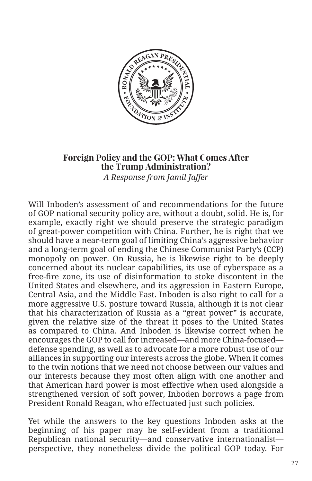

## **Foreign Policy and the GOP: What Comes After the Trump Administration?**  *A Response from Jamil Jaffer*

Will Inboden's assessment of and recommendations for the future of GOP national security policy are, without a doubt, solid. He is, for example, exactly right we should preserve the strategic paradigm of great-power competition with China. Further, he is right that we should have a near-term goal of limiting China's aggressive behavior and a long-term goal of ending the Chinese Communist Party's (CCP) monopoly on power. On Russia, he is likewise right to be deeply concerned about its nuclear capabilities, its use of cyberspace as a free-fire zone, its use of disinformation to stoke discontent in the United States and elsewhere, and its aggression in Eastern Europe, Central Asia, and the Middle East. Inboden is also right to call for a more aggressive U.S. posture toward Russia, although it is not clear that his characterization of Russia as a "great power" is accurate, given the relative size of the threat it poses to the United States as compared to China. And Inboden is likewise correct when he encourages the GOP to call for increased—and more China-focused defense spending, as well as to advocate for a more robust use of our alliances in supporting our interests across the globe. When it comes to the twin notions that we need not choose between our values and our interests because they most often align with one another and that American hard power is most effective when used alongside a strengthened version of soft power, Inboden borrows a page from President Ronald Reagan, who effectuated just such policies.

Yet while the answers to the key questions Inboden asks at the beginning of his paper may be self-evident from a traditional Republican national security—and conservative internationalist perspective, they nonetheless divide the political GOP today. For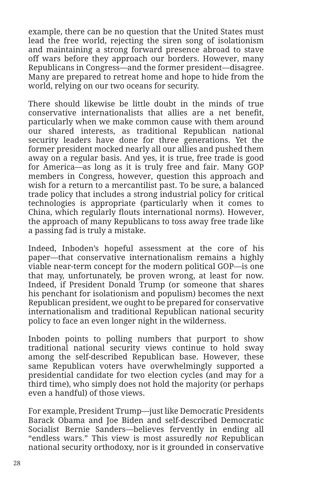example, there can be no question that the United States must lead the free world, rejecting the siren song of isolationism and maintaining a strong forward presence abroad to stave off wars before they approach our borders. However, many Republicans in Congress—and the former president—disagree. Many are prepared to retreat home and hope to hide from the world, relying on our two oceans for security.

There should likewise be little doubt in the minds of true conservative internationalists that allies are a net benefit, particularly when we make common cause with them around our shared interests, as traditional Republican national security leaders have done for three generations. Yet the former president mocked nearly all our allies and pushed them away on a regular basis. And yes, it is true, free trade is good for America—as long as it is truly free and fair. Many GOP members in Congress, however, question this approach and wish for a return to a mercantilist past. To be sure, a balanced trade policy that includes a strong industrial policy for critical technologies is appropriate (particularly when it comes to China, which regularly flouts international norms). However, the approach of many Republicans to toss away free trade like a passing fad is truly a mistake.

Indeed, Inboden's hopeful assessment at the core of his paper—that conservative internationalism remains a highly viable near-term concept for the modern political GOP—is one that may, unfortunately, be proven wrong, at least for now. Indeed, if President Donald Trump (or someone that shares his penchant for isolationism and populism) becomes the next Republican president, we ought to be prepared for conservative internationalism and traditional Republican national security policy to face an even longer night in the wilderness.

Inboden points to polling numbers that purport to show traditional national security views continue to hold sway among the self-described Republican base. However, these same Republican voters have overwhelmingly supported a presidential candidate for two election cycles (and may for a third time), who simply does not hold the majority (or perhaps even a handful) of those views.

For example, President Trump—just like Democratic Presidents Barack Obama and Joe Biden and self-described Democratic Socialist Bernie Sanders—believes fervently in ending all "endless wars." This view is most assuredly *not* Republican national security orthodoxy, nor is it grounded in conservative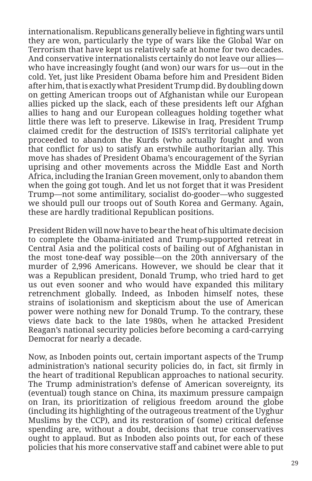internationalism. Republicans generally believe in fighting wars until they are won, particularly the type of wars like the Global War on Terrorism that have kept us relatively safe at home for two decades. And conservative internationalists certainly do not leave our allies who have increasingly fought (and won) our wars for us—out in the cold. Yet, just like President Obama before him and President Biden after him, that is exactly what President Trump did. By doubling down on getting American troops out of Afghanistan while our European allies picked up the slack, each of these presidents left our Afghan allies to hang and our European colleagues holding together what little there was left to preserve. Likewise in Iraq, President Trump claimed credit for the destruction of ISIS's territorial caliphate yet proceeded to abandon the Kurds (who actually fought and won that conflict for us) to satisfy an erstwhile authoritarian ally. This move has shades of President Obama's encouragement of the Syrian uprising and other movements across the Middle East and North Africa, including the Iranian Green movement, only to abandon them when the going got tough. And let us not forget that it was President Trump—not some antimilitary, socialist do-gooder—who suggested we should pull our troops out of South Korea and Germany. Again, these are hardly traditional Republican positions.

President Biden will now have to bear the heat of his ultimate decision to complete the Obama-initiated and Trump-supported retreat in Central Asia and the political costs of bailing out of Afghanistan in the most tone-deaf way possible—on the 20th anniversary of the murder of 2,996 Americans. However, we should be clear that it was a Republican president, Donald Trump, who tried hard to get us out even sooner and who would have expanded this military retrenchment globally. Indeed, as Inboden himself notes, these strains of isolationism and skepticism about the use of American power were nothing new for Donald Trump. To the contrary, these views date back to the late 1980s, when he attacked President Reagan's national security policies before becoming a card-carrying Democrat for nearly a decade.

Now, as Inboden points out, certain important aspects of the Trump administration's national security policies do, in fact, sit firmly in the heart of traditional Republican approaches to national security. The Trump administration's defense of American sovereignty, its (eventual) tough stance on China, its maximum pressure campaign on Iran, its prioritization of religious freedom around the globe (including its highlighting of the outrageous treatment of the Uyghur Muslims by the CCP), and its restoration of (some) critical defense spending are, without a doubt, decisions that true conservatives ought to applaud. But as Inboden also points out, for each of these policies that his more conservative staff and cabinet were able to put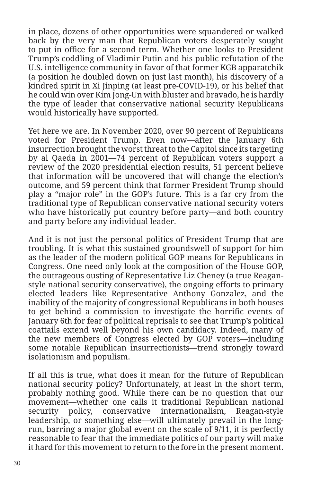in place, dozens of other opportunities were squandered or walked back by the very man that Republican voters desperately sought to put in office for a second term. Whether one looks to President Trump's coddling of Vladimir Putin and his public refutation of the U.S. intelligence community in favor of that former KGB apparatchik (a position he doubled down on just last month), his discovery of a kindred spirit in Xi Jinping (at least pre-COVID-19), or his belief that he could win over Kim Jong-Un with bluster and bravado, he is hardly the type of leader that conservative national security Republicans would historically have supported.

Yet here we are. In November 2020, over 90 percent of Republicans voted for President Trump. Even now—after the January 6th insurrection brought the worst threat to the Capitol since its targeting by al Qaeda in 2001—74 percent of Republican voters support a review of the 2020 presidential election results, 51 percent believe that information will be uncovered that will change the election's outcome, and 59 percent think that former President Trump should play a "major role" in the GOP's future. This is a far cry from the traditional type of Republican conservative national security voters who have historically put country before party—and both country and party before any individual leader.

And it is not just the personal politics of President Trump that are troubling. It is what this sustained groundswell of support for him as the leader of the modern political GOP means for Republicans in Congress. One need only look at the composition of the House GOP, the outrageous ousting of Representative Liz Cheney (a true Reaganstyle national security conservative), the ongoing efforts to primary elected leaders like Representative Anthony Gonzalez, and the inability of the majority of congressional Republicans in both houses to get behind a commission to investigate the horrific events of January 6th for fear of political reprisals to see that Trump's political coattails extend well beyond his own candidacy. Indeed, many of the new members of Congress elected by GOP voters—including some notable Republican insurrectionists—trend strongly toward isolationism and populism.

If all this is true, what does it mean for the future of Republican national security policy? Unfortunately, at least in the short term, probably nothing good. While there can be no question that our movement—whether one calls it traditional Republican national security policy, conservative internationalism, Reagan-style leadership, or something else—will ultimately prevail in the longrun, barring a major global event on the scale of 9/11, it is perfectly reasonable to fear that the immediate politics of our party will make it hard for this movement to return to the fore in the present moment.